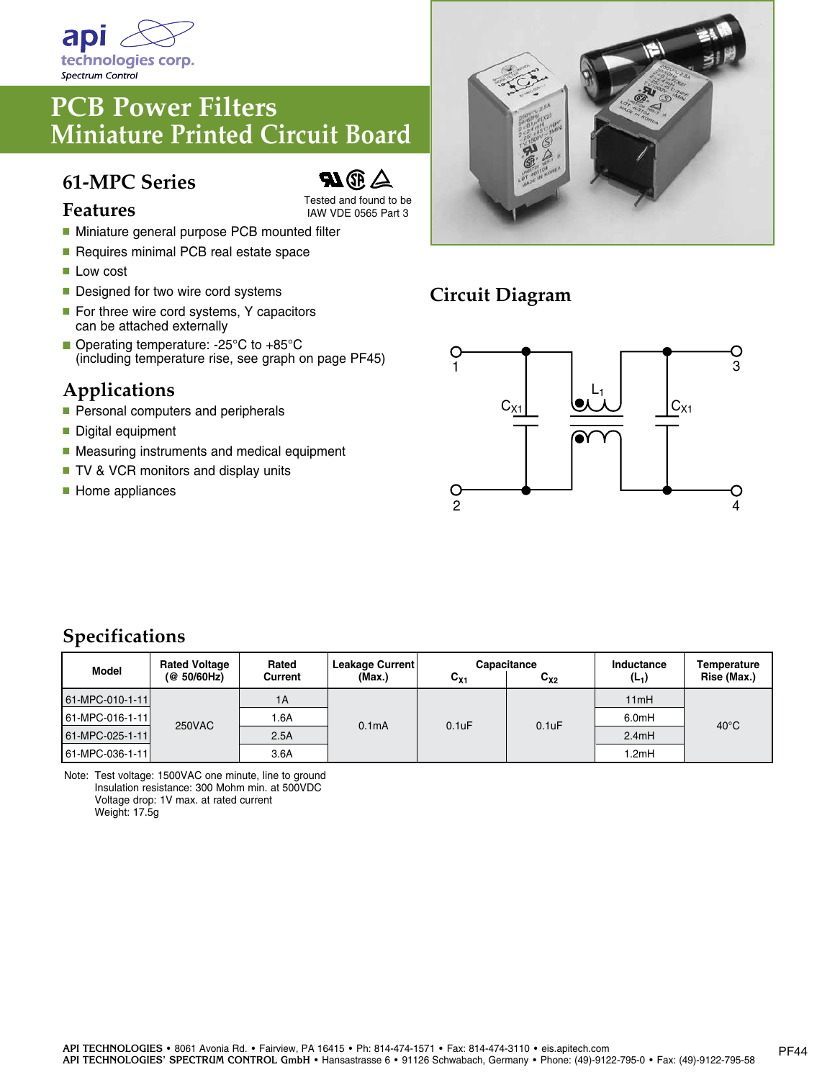

# **PCB Power Filters Miniature Printed Circuit Board**

#### **61-MPC Series**



Tested and found to be IAW VDE 0565 Part 3

- Miniature general purpose PCB mounted filter
- Requires minimal PCB real estate space
- **Low cost**

**Features**

- Designed for two wire cord systems
- For three wire cord systems, Y capacitors can be attached externally
- $\blacksquare$  Operating temperature: -25°C to +85°C (including temperature rise, see graph on page PF45)

## **Applications**

- **Personal computers and peripherals**
- Digital equipment
- Measuring instruments and medical equipment
- TV & VCR monitors and display units
- $\blacksquare$  Home appliances



## **Circuit Diagram**



### **Specifications**

| Model               | <b>Rated Voltage</b><br>(Q 50/60 Hz) | Rated<br>Current | Leakage Current<br>(Max.) | $C_{X1}$           | Capacitance<br>$C_{X2}$ | Inductance<br>$(L_1)$ | Temperature<br>Rise (Max.) |
|---------------------|--------------------------------------|------------------|---------------------------|--------------------|-------------------------|-----------------------|----------------------------|
| $ 61-MPC-010-1-11 $ | 250VAC                               | 1Α               | 0.1 <sub>m</sub> A        | 0.1 <sub>U</sub> F | 0.1uF                   | 11mH                  | $40^{\circ}$ C             |
| $[61-MPC-016-1-11]$ |                                      | .6A              |                           |                    |                         | 6.0mH                 |                            |
| 61-MPC-025-1-11     |                                      | 2.5A             |                           |                    |                         | 2.4mH                 |                            |
| 161-MPC-036-1-11    |                                      | 3.6A             |                           |                    |                         | I.2mH                 |                            |

Note: Test voltage: 1500VAC one minute, line to ground Insulation resistance: 300 Mohm min. at 500VDC Voltage drop: 1V max. at rated current Weight: 17.5g